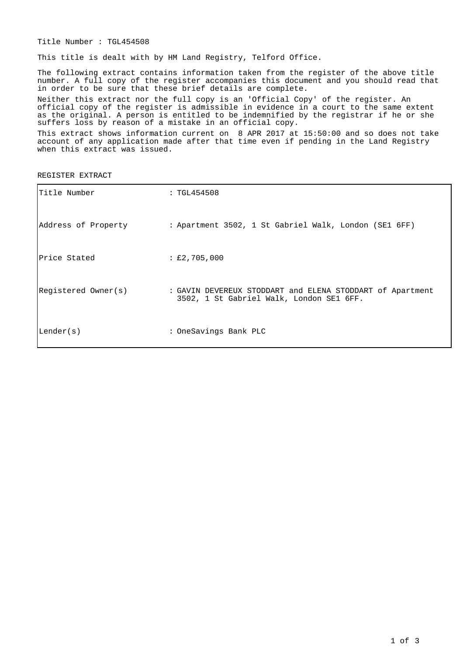Title Number : TGL454508

This title is dealt with by HM Land Registry, Telford Office.

The following extract contains information taken from the register of the above title number. A full copy of the register accompanies this document and you should read that in order to be sure that these brief details are complete.

Neither this extract nor the full copy is an 'Official Copy' of the register. An official copy of the register is admissible in evidence in a court to the same extent as the original. A person is entitled to be indemnified by the registrar if he or she suffers loss by reason of a mistake in an official copy.

This extract shows information current on 8 APR 2017 at 15:50:00 and so does not take account of any application made after that time even if pending in the Land Registry when this extract was issued.

REGISTER EXTRACT

| ITitle Number       | : TGL454508                                                                                           |
|---------------------|-------------------------------------------------------------------------------------------------------|
| Address of Property | : Apartment 3502, 1 St Gabriel Walk, London (SE1 6FF)                                                 |
| lPrice Stated       | : E2, 705, 000                                                                                        |
| Registered Owner(s) | : GAVIN DEVEREUX STODDART and ELENA STODDART of Apartment<br>3502, 1 St Gabriel Walk, London SE1 6FF. |
| Lender(s)           | : OneSavings Bank PLC                                                                                 |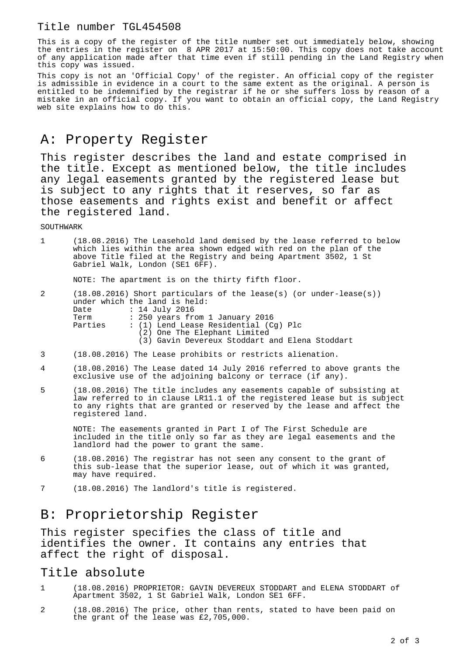This is a copy of the register of the title number set out immediately below, showing the entries in the register on 8 APR 2017 at 15:50:00. This copy does not take account of any application made after that time even if still pending in the Land Registry when this copy was issued.

This copy is not an 'Official Copy' of the register. An official copy of the register is admissible in evidence in a court to the same extent as the original. A person is entitled to be indemnified by the registrar if he or she suffers loss by reason of a mistake in an official copy. If you want to obtain an official copy, the Land Registry web site explains how to do this.

# A: Property Register

This register describes the land and estate comprised in the title. Except as mentioned below, the title includes any legal easements granted by the registered lease but is subject to any rights that it reserves, so far as those easements and rights exist and benefit or affect the registered land.

**SOUTHWARK** 

| $1 \quad$ | (18.08.2016) The Leasehold land demised by the lease referred to below |
|-----------|------------------------------------------------------------------------|
|           | which lies within the area shown edged with red on the plan of the     |
|           | above Title filed at the Registry and being Apartment 3502, 1 St       |
|           | Gabriel Walk, London (SE1 6FF).                                        |

NOTE: The apartment is on the thirty fifth floor.

| 2 |                     | $(18.08.2016)$ Short particulars of the lease(s) (or under-lease(s)) |
|---|---------------------|----------------------------------------------------------------------|
|   |                     | under which the land is held:                                        |
|   | Date : 14 July 2016 |                                                                      |
|   | Term                | : 250 years from 1 January 2016                                      |
|   | Parties             | : (1) Lend Lease Residential (Cq) Plc                                |
|   |                     | (2) One The Elephant Limited                                         |
|   |                     | (3) Gavin Devereux Stoddart and Elena Stoddart                       |

- 3 (18.08.2016) The Lease prohibits or restricts alienation.
- 4 (18.08.2016) The Lease dated 14 July 2016 referred to above grants the exclusive use of the adjoining balcony or terrace (if any).
- 5 (18.08.2016) The title includes any easements capable of subsisting at law referred to in clause LR11.1 of the registered lease but is subject to any rights that are granted or reserved by the lease and affect the registered land.

NOTE: The easements granted in Part I of The First Schedule are included in the title only so far as they are legal easements and the landlord had the power to grant the same.

- 6 (18.08.2016) The registrar has not seen any consent to the grant of this sub-lease that the superior lease, out of which it was granted, may have required.
- 7 (18.08.2016) The landlord's title is registered.

## B: Proprietorship Register

This register specifies the class of title and identifies the owner. It contains any entries that affect the right of disposal.

### Title absolute

- 1 (18.08.2016) PROPRIETOR: GAVIN DEVEREUX STODDART and ELENA STODDART of Apartment 3502, 1 St Gabriel Walk, London SE1 6FF.
- 2 (18.08.2016) The price, other than rents, stated to have been paid on the grant of the lease was £2,705,000.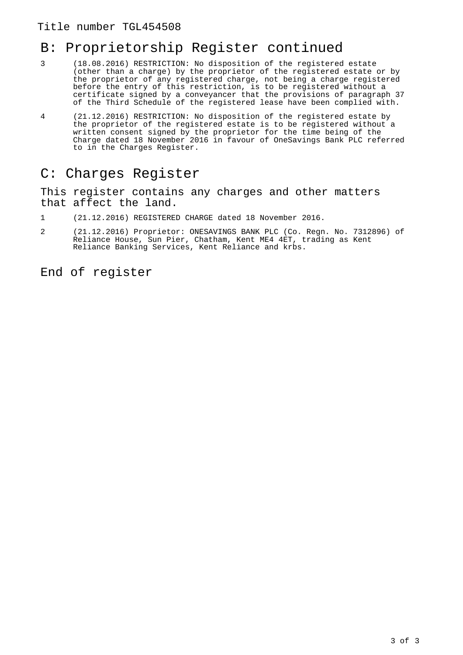## B: Proprietorship Register continued

- 3 (18.08.2016) RESTRICTION: No disposition of the registered estate (other than a charge) by the proprietor of the registered estate or by the proprietor of any registered charge, not being a charge registered before the entry of this restriction, is to be registered without a certificate signed by a conveyancer that the provisions of paragraph 37 of the Third Schedule of the registered lease have been complied with.
- 4 (21.12.2016) RESTRICTION: No disposition of the registered estate by the proprietor of the registered estate is to be registered without a written consent signed by the proprietor for the time being of the Charge dated 18 November 2016 in favour of OneSavings Bank PLC referred to in the Charges Register.

### C: Charges Register

This register contains any charges and other matters that affect the land.

- 1 (21.12.2016) REGISTERED CHARGE dated 18 November 2016.
- 2 (21.12.2016) Proprietor: ONESAVINGS BANK PLC (Co. Regn. No. 7312896) of Reliance House, Sun Pier, Chatham, Kent ME4 4ET, trading as Kent Reliance Banking Services, Kent Reliance and krbs.

End of register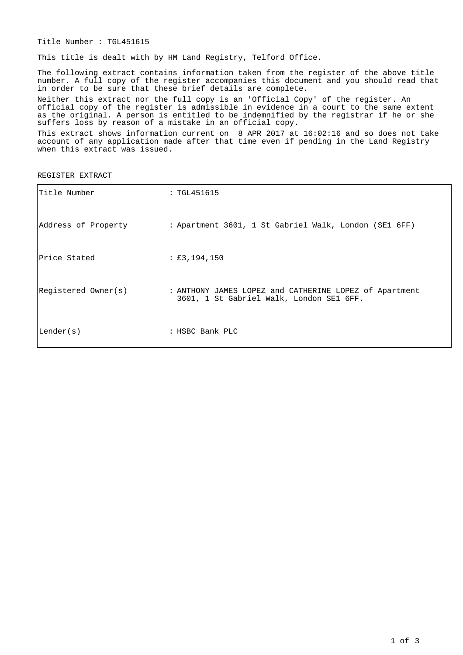Title Number : TGL451615

This title is dealt with by HM Land Registry, Telford Office.

The following extract contains information taken from the register of the above title number. A full copy of the register accompanies this document and you should read that in order to be sure that these brief details are complete.

Neither this extract nor the full copy is an 'Official Copy' of the register. An official copy of the register is admissible in evidence in a court to the same extent as the original. A person is entitled to be indemnified by the registrar if he or she suffers loss by reason of a mistake in an official copy.

This extract shows information current on 8 APR 2017 at 16:02:16 and so does not take account of any application made after that time even if pending in the Land Registry when this extract was issued.

REGISTER EXTRACT

| Title Number        | : TGL451615                                                                                        |
|---------------------|----------------------------------------------------------------------------------------------------|
| Address of Property | : Apartment 3601, 1 St Gabriel Walk, London (SE1 6FF)                                              |
| Price Stated        | : £3,194,150                                                                                       |
| Registered Owner(s) | : ANTHONY JAMES LOPEZ and CATHERINE LOPEZ of Apartment<br>3601, 1 St Gabriel Walk, London SE1 6FF. |
| Lender(s)           | : HSBC Bank PLC                                                                                    |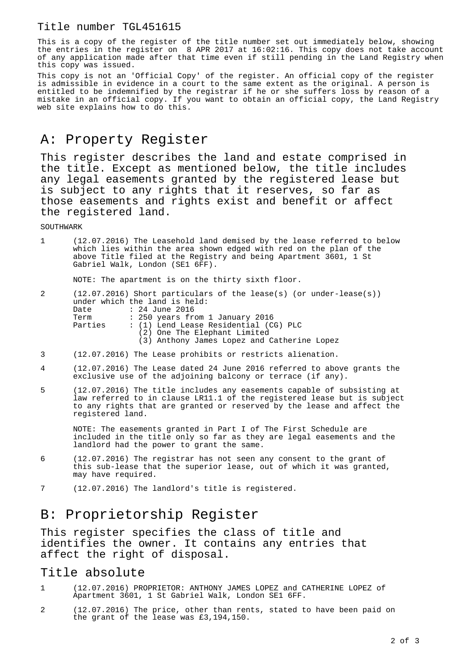This is a copy of the register of the title number set out immediately below, showing the entries in the register on 8 APR 2017 at 16:02:16. This copy does not take account of any application made after that time even if still pending in the Land Registry when this copy was issued.

This copy is not an 'Official Copy' of the register. An official copy of the register is admissible in evidence in a court to the same extent as the original. A person is entitled to be indemnified by the registrar if he or she suffers loss by reason of a mistake in an official copy. If you want to obtain an official copy, the Land Registry web site explains how to do this.

# A: Property Register

This register describes the land and estate comprised in the title. Except as mentioned below, the title includes any legal easements granted by the registered lease but is subject to any rights that it reserves, so far as those easements and rights exist and benefit or affect the registered land.

**SOUTHWARK** 

| $\pm$ . The set of $\pm$ | (12.07.2016) The Leasehold land demised by the lease referred to below |
|--------------------------|------------------------------------------------------------------------|
|                          | which lies within the area shown edged with red on the plan of the     |
|                          | above Title filed at the Registry and being Apartment 3601, 1 St       |
|                          | Gabriel Walk, London (SE1 6FF).                                        |

NOTE: The apartment is on the thirty sixth floor.

| 2 |         | $(12.07.2016)$ Short particulars of the lease(s) (or under-lease(s)) |
|---|---------|----------------------------------------------------------------------|
|   |         | under which the land is held:                                        |
|   |         | Date : 24 June 2016                                                  |
|   | Term    | : 250 years from 1 January 2016                                      |
|   | Parties | : (1) Lend Lease Residential (CG) PLC                                |
|   |         | (2) One The Elephant Limited                                         |
|   |         | (3) Anthony James Lopez and Catherine Lopez                          |

- 3 (12.07.2016) The Lease prohibits or restricts alienation.
- 4 (12.07.2016) The Lease dated 24 June 2016 referred to above grants the exclusive use of the adjoining balcony or terrace (if any).
- 5 (12.07.2016) The title includes any easements capable of subsisting at law referred to in clause LR11.1 of the registered lease but is subject to any rights that are granted or reserved by the lease and affect the registered land.

NOTE: The easements granted in Part I of The First Schedule are included in the title only so far as they are legal easements and the landlord had the power to grant the same.

- 6 (12.07.2016) The registrar has not seen any consent to the grant of this sub-lease that the superior lease, out of which it was granted, may have required.
- 7 (12.07.2016) The landlord's title is registered.

## B: Proprietorship Register

This register specifies the class of title and identifies the owner. It contains any entries that affect the right of disposal.

#### Title absolute

- 1 (12.07.2016) PROPRIETOR: ANTHONY JAMES LOPEZ and CATHERINE LOPEZ of Apartment 3601, 1 St Gabriel Walk, London SE1 6FF.
- 2 (12.07.2016) The price, other than rents, stated to have been paid on the grant of the lease was £3,194,150.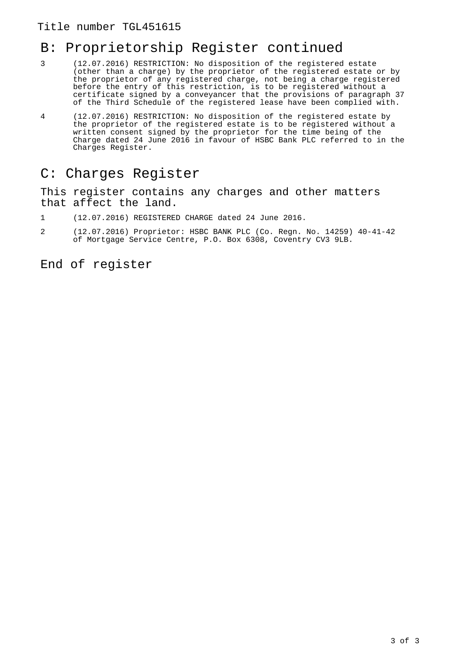# B: Proprietorship Register continued

- 3 (12.07.2016) RESTRICTION: No disposition of the registered estate (other than a charge) by the proprietor of the registered estate or by the proprietor of any registered charge, not being a charge registered before the entry of this restriction, is to be registered without a certificate signed by a conveyancer that the provisions of paragraph 37 of the Third Schedule of the registered lease have been complied with.
- 4 (12.07.2016) RESTRICTION: No disposition of the registered estate by the proprietor of the registered estate is to be registered without a written consent signed by the proprietor for the time being of the Charge dated 24 June 2016 in favour of HSBC Bank PLC referred to in the Charges Register.

### C: Charges Register

This register contains any charges and other matters that affect the land.

- 1 (12.07.2016) REGISTERED CHARGE dated 24 June 2016.
- 2 (12.07.2016) Proprietor: HSBC BANK PLC (Co. Regn. No. 14259) 40-41-42 of Mortgage Service Centre, P.O. Box 6308, Coventry CV3 9LB.

End of register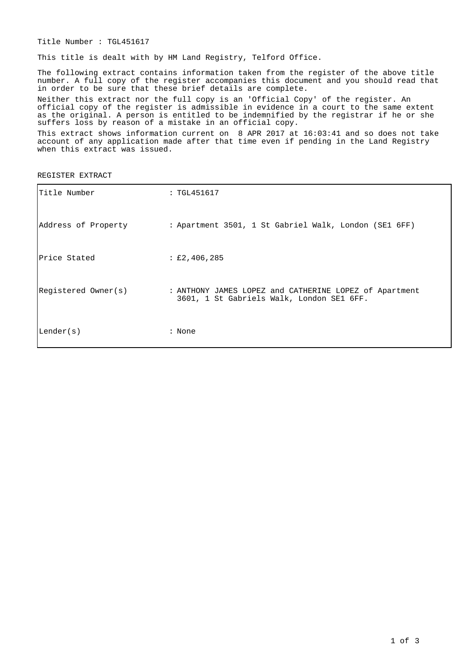Title Number : TGL451617

This title is dealt with by HM Land Registry, Telford Office.

The following extract contains information taken from the register of the above title number. A full copy of the register accompanies this document and you should read that in order to be sure that these brief details are complete.

Neither this extract nor the full copy is an 'Official Copy' of the register. An official copy of the register is admissible in evidence in a court to the same extent as the original. A person is entitled to be indemnified by the registrar if he or she suffers loss by reason of a mistake in an official copy.

This extract shows information current on 8 APR 2017 at 16:03:41 and so does not take account of any application made after that time even if pending in the Land Registry when this extract was issued.

REGISTER EXTRACT

| Title Number        | : TGL451617                                                                                         |
|---------------------|-----------------------------------------------------------------------------------------------------|
| Address of Property | : Apartment 3501, 1 St Gabriel Walk, London (SE1 6FF)                                               |
| Price Stated        | : £2,406,285                                                                                        |
| Registered Owner(s) | : ANTHONY JAMES LOPEZ and CATHERINE LOPEZ of Apartment<br>3601, 1 St Gabriels Walk, London SE1 6FF. |
| Lender(s)           | : None                                                                                              |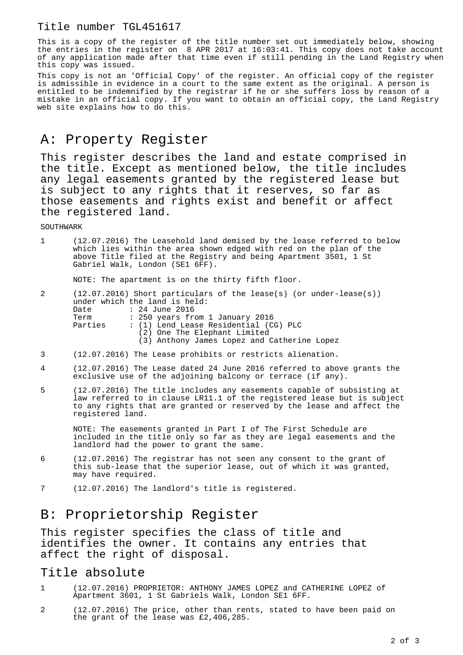This is a copy of the register of the title number set out immediately below, showing the entries in the register on 8 APR 2017 at 16:03:41. This copy does not take account of any application made after that time even if still pending in the Land Registry when this copy was issued.

This copy is not an 'Official Copy' of the register. An official copy of the register is admissible in evidence in a court to the same extent as the original. A person is entitled to be indemnified by the registrar if he or she suffers loss by reason of a mistake in an official copy. If you want to obtain an official copy, the Land Registry web site explains how to do this.

# A: Property Register

This register describes the land and estate comprised in the title. Except as mentioned below, the title includes any legal easements granted by the registered lease but is subject to any rights that it reserves, so far as those easements and rights exist and benefit or affect the registered land.

**SOUTHWARK** 

| (12.07.2016) The Leasehold land demised by the lease referred to below |
|------------------------------------------------------------------------|
| which lies within the area shown edged with red on the plan of the     |
| above Title filed at the Registry and being Apartment 3501, 1 St       |
| Gabriel Walk, London (SE1 6FF).                                        |

NOTE: The apartment is on the thirty fifth floor.

| 2 |         | $(12.07.2016)$ Short particulars of the lease(s) (or under-lease(s)) |
|---|---------|----------------------------------------------------------------------|
|   |         | under which the land is held:                                        |
|   |         | Date : 24 June 2016                                                  |
|   | Term    | : 250 years from 1 January 2016                                      |
|   | Parties | : (1) Lend Lease Residential (CG) PLC                                |
|   |         | (2) One The Elephant Limited                                         |
|   |         | (3) Anthony James Lopez and Catherine Lopez                          |

- 3 (12.07.2016) The Lease prohibits or restricts alienation.
- 4 (12.07.2016) The Lease dated 24 June 2016 referred to above grants the exclusive use of the adjoining balcony or terrace (if any).
- 5 (12.07.2016) The title includes any easements capable of subsisting at law referred to in clause LR11.1 of the registered lease but is subject to any rights that are granted or reserved by the lease and affect the registered land.

NOTE: The easements granted in Part I of The First Schedule are included in the title only so far as they are legal easements and the landlord had the power to grant the same.

- 6 (12.07.2016) The registrar has not seen any consent to the grant of this sub-lease that the superior lease, out of which it was granted, may have required.
- 7 (12.07.2016) The landlord's title is registered.

## B: Proprietorship Register

This register specifies the class of title and identifies the owner. It contains any entries that affect the right of disposal.

#### Title absolute

- 1 (12.07.2016) PROPRIETOR: ANTHONY JAMES LOPEZ and CATHERINE LOPEZ of Apartment 3601, 1 St Gabriels Walk, London SE1 6FF.
- 2 (12.07.2016) The price, other than rents, stated to have been paid on the grant of the lease was £2,406,285.